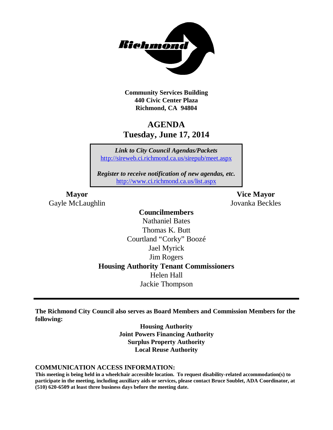

**Community Services Building 440 Civic Center Plaza Richmond, CA 94804**

## **AGENDA Tuesday, June 17, 2014**

*Link to City Council Agendas/Packets* <http://sireweb.ci.richmond.ca.us/sirepub/meet.aspx>

*Register to receive notification of new agendas, etc.* <http://www.ci.richmond.ca.us/list.aspx>

Gayle McLaughlin Jovanka Beckles

**Mayor Vice Mayor**

## **Councilmembers** Nathaniel Bates Thomas K. Butt Courtland "Corky" Boozé Jael Myrick Jim Rogers **Housing Authority Tenant Commissioners** Helen Hall Jackie Thompson

**The Richmond City Council also serves as Board Members and Commission Members for the following:**

> **Housing Authority Joint Powers Financing Authority Surplus Property Authority Local Reuse Authority**

### **COMMUNICATION ACCESS INFORMATION:**

**This meeting is being held in a wheelchair accessible location. To request disability-related accommodation(s) to participate in the meeting, including auxiliary aids or services, please contact Bruce Soublet, ADA Coordinator, at (510) 620-6509 at least three business days before the meeting date.**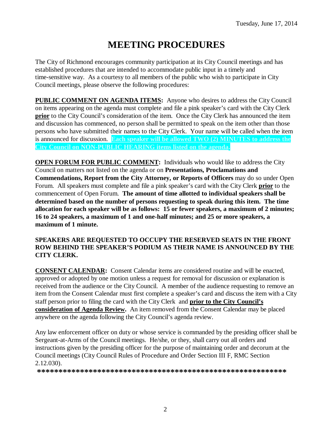# **MEETING PROCEDURES**

The City of Richmond encourages community participation at its City Council meetings and has established procedures that are intended to accommodate public input in a timely and time-sensitive way. As a courtesy to all members of the public who wish to participate in City Council meetings, please observe the following procedures:

**PUBLIC COMMENT ON AGENDA ITEMS:** Anyone who desires to address the City Council on items appearing on the agenda must complete and file a pink speaker's card with the City Clerk **prior** to the City Council's consideration of the item. Once the City Clerk has announced the item and discussion has commenced, no person shall be permitted to speak on the item other than those persons who have submitted their names to the City Clerk. Your name will be called when the item is announced for discussion. **Each speaker will be allowed TWO (2) MINUTES to address the City Council on NON-PUBLIC HEARING items listed on the agenda.**

**OPEN FORUM FOR PUBLIC COMMENT:** Individuals who would like to address the City Council on matters not listed on the agenda or on **Presentations, Proclamations and Commendations, Report from the City Attorney, or Reports of Officers** may do so under Open Forum. All speakers must complete and file a pink speaker's card with the City Clerk **prior** to the commencement of Open Forum. **The amount of time allotted to individual speakers shall be determined based on the number of persons requesting to speak during this item. The time allocation for each speaker will be as follows: 15 or fewer speakers, a maximum of 2 minutes; 16 to 24 speakers, a maximum of 1 and one-half minutes; and 25 or more speakers, a maximum of 1 minute.**

## **SPEAKERS ARE REQUESTED TO OCCUPY THE RESERVED SEATS IN THE FRONT ROW BEHIND THE SPEAKER'S PODIUM AS THEIR NAME IS ANNOUNCED BY THE CITY CLERK.**

**CONSENT CALENDAR:** Consent Calendar items are considered routine and will be enacted, approved or adopted by one motion unless a request for removal for discussion or explanation is received from the audience or the City Council. A member of the audience requesting to remove an item from the Consent Calendar must first complete a speaker's card and discuss the item with a City staff person prior to filing the card with the City Clerk and **prior to the City Council's consideration of Agenda Review.** An item removed from the Consent Calendar may be placed anywhere on the agenda following the City Council's agenda review.

Any law enforcement officer on duty or whose service is commanded by the presiding officer shall be Sergeant-at-Arms of the Council meetings. He/she, or they, shall carry out all orders and instructions given by the presiding officer for the purpose of maintaining order and decorum at the Council meetings (City Council Rules of Procedure and Order Section III F, RMC Section 2.12.030).

**\*\*\*\*\*\*\*\*\*\*\*\*\*\*\*\*\*\*\*\*\*\*\*\*\*\*\*\*\*\*\*\*\*\*\*\*\*\*\*\*\*\*\*\*\*\*\*\*\*\*\*\*\*\*\*\*\*\***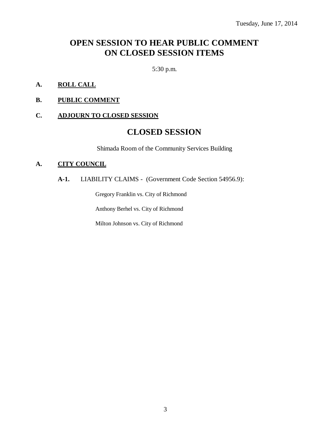## **OPEN SESSION TO HEAR PUBLIC COMMENT ON CLOSED SESSION ITEMS**

5:30 p.m.

- **A. ROLL CALL**
- **B. PUBLIC COMMENT**

## **C. ADJOURN TO CLOSED SESSION**

## **CLOSED SESSION**

Shimada Room of the Community Services Building

### **A. CITY COUNCIL**

**A-1.** LIABILITY CLAIMS - (Government Code Section 54956.9):

Gregory Franklin vs. City of Richmond

Anthony Berhel vs. City of Richmond

Milton Johnson vs. City of Richmond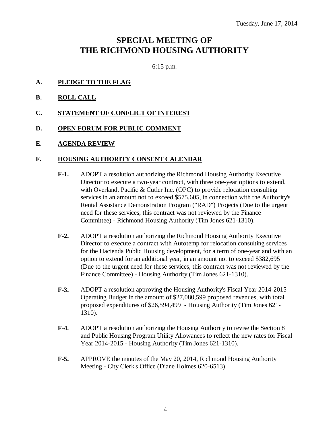## **SPECIAL MEETING OF THE RICHMOND HOUSING AUTHORITY**

6:15 p.m.

- **A. PLEDGE TO THE FLAG**
- **B. ROLL CALL**
- **C. STATEMENT OF CONFLICT OF INTEREST**
- **D. OPEN FORUM FOR PUBLIC COMMENT**
- **E. AGENDA REVIEW**

### **F. HOUSING AUTHORITY CONSENT CALENDAR**

- **F-1.** ADOPT a resolution authorizing the Richmond Housing Authority Executive Director to execute a two-year contract, with three one-year options to extend, with Overland, Pacific & Cutler Inc. (OPC) to provide relocation consulting services in an amount not to exceed \$575,605, in connection with the Authority's Rental Assistance Demonstration Program ("RAD") Projects (Due to the urgent need for these services, this contract was not reviewed by the Finance Committee) - Richmond Housing Authority (Tim Jones 621-1310).
- **F-2.** ADOPT a resolution authorizing the Richmond Housing Authority Executive Director to execute a contract with Autotemp for relocation consulting services for the Hacienda Public Housing development, for a term of one-year and with an option to extend for an additional year, in an amount not to exceed \$382,695 (Due to the urgent need for these services, this contract was not reviewed by the Finance Committee) - Housing Authority (Tim Jones 621-1310).
- **F-3.** ADOPT a resolution approving the Housing Authority's Fiscal Year 2014-2015 Operating Budget in the amount of \$27,080,599 proposed revenues, with total proposed expenditures of \$26,594,499 - Housing Authority (Tim Jones 621- 1310).
- **F-4.** ADOPT a resolution authorizing the Housing Authority to revise the Section 8 and Public Housing Program Utility Allowances to reflect the new rates for Fiscal Year 2014-2015 - Housing Authority (Tim Jones 621-1310).
- **F-5.** APPROVE the minutes of the May 20, 2014, Richmond Housing Authority Meeting - City Clerk's Office (Diane Holmes 620-6513).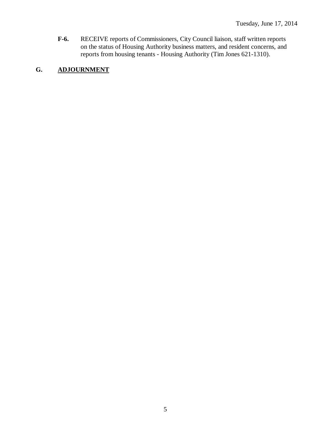**F-6.** RECEIVE reports of Commissioners, City Council liaison, staff written reports on the status of Housing Authority business matters, and resident concerns, and reports from housing tenants - Housing Authority (Tim Jones 621-1310).

## **G. ADJOURNMENT**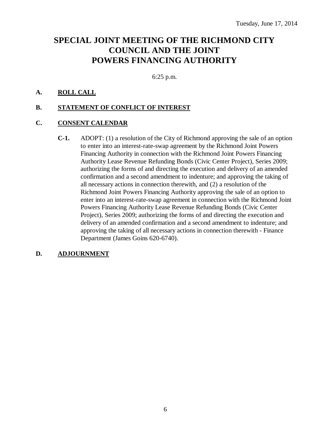## **SPECIAL JOINT MEETING OF THE RICHMOND CITY COUNCIL AND THE JOINT POWERS FINANCING AUTHORITY**

6:25 p.m.

## **A. ROLL CALL**

## **B. STATEMENT OF CONFLICT OF INTEREST**

## **C. CONSENT CALENDAR**

**C-1.** ADOPT: (1) a resolution of the City of Richmond approving the sale of an option to enter into an interest-rate-swap agreement by the Richmond Joint Powers Financing Authority in connection with the Richmond Joint Powers Financing Authority Lease Revenue Refunding Bonds (Civic Center Project), Series 2009; authorizing the forms of and directing the execution and delivery of an amended confirmation and a second amendment to indenture; and approving the taking of all necessary actions in connection therewith, and (2) a resolution of the Richmond Joint Powers Financing Authority approving the sale of an option to enter into an interest-rate-swap agreement in connection with the Richmond Joint Powers Financing Authority Lease Revenue Refunding Bonds (Civic Center Project), Series 2009; authorizing the forms of and directing the execution and delivery of an amended confirmation and a second amendment to indenture; and approving the taking of all necessary actions in connection therewith - Finance Department (James Goins 620-6740).

## **D. ADJOURNMENT**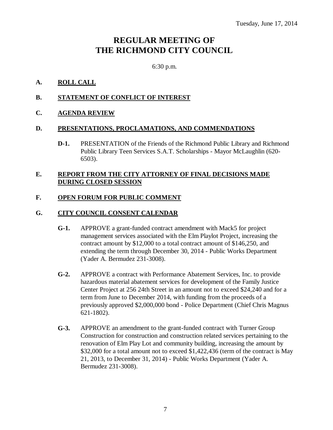## **REGULAR MEETING OF THE RICHMOND CITY COUNCIL**

6:30 p.m.

## **A. ROLL CALL**

## **B. STATEMENT OF CONFLICT OF INTEREST**

## **C. AGENDA REVIEW**

## **D. PRESENTATIONS, PROCLAMATIONS, AND COMMENDATIONS**

**D-1.** PRESENTATION of the Friends of the Richmond Public Library and Richmond Public Library Teen Services S.A.T. Scholarships - Mayor McLaughlin (620- 6503).

## **E. REPORT FROM THE CITY ATTORNEY OF FINAL DECISIONS MADE DURING CLOSED SESSION**

## **F. OPEN FORUM FOR PUBLIC COMMENT**

## **G. CITY COUNCIL CONSENT CALENDAR**

- **G-1.** APPROVE a grant-funded contract amendment with Mack5 for project management services associated with the Elm Playlot Project, increasing the contract amount by \$12,000 to a total contract amount of \$146,250, and extending the term through December 30, 2014 - Public Works Department (Yader A. Bermudez 231-3008).
- **G-2.** APPROVE a contract with Performance Abatement Services, Inc. to provide hazardous material abatement services for development of the Family Justice Center Project at 256 24th Street in an amount not to exceed \$24,240 and for a term from June to December 2014, with funding from the proceeds of a previously approved \$2,000,000 bond - Police Department (Chief Chris Magnus 621-1802).
- **G-3.** APPROVE an amendment to the grant-funded contract with Turner Group Construction for construction and construction related services pertaining to the renovation of Elm Play Lot and community building, increasing the amount by \$32,000 for a total amount not to exceed \$1,422,436 (term of the contract is May 21, 2013, to December 31, 2014) - Public Works Department (Yader A. Bermudez 231-3008).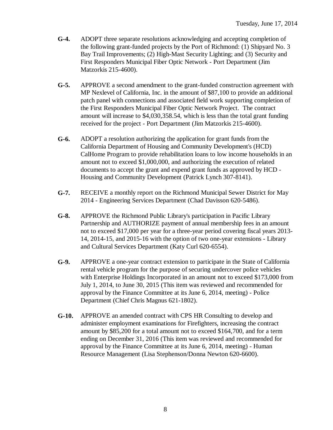- **G-4.** ADOPT three separate resolutions acknowledging and accepting completion of the following grant-funded projects by the Port of Richmond: (1) Shipyard No. 3 Bay Trail Improvements; (2) High-Mast Security Lighting; and (3) Security and First Responders Municipal Fiber Optic Network - Port Department (Jim Matzorkis 215-4600).
- **G-5.** APPROVE a second amendment to the grant-funded construction agreement with MP Nexlevel of California, Inc. in the amount of \$87,100 to provide an additional patch panel with connections and associated field work supporting completion of the First Responders Municipal Fiber Optic Network Project. The contract amount will increase to \$4,030,358.54, which is less than the total grant funding received for the project - Port Department (Jim Matzorkis 215-4600).
- **G-6.** ADOPT a resolution authorizing the application for grant funds from the California Department of Housing and Community Development's (HCD) CalHome Program to provide rehabilitation loans to low income households in an amount not to exceed \$1,000,000, and authorizing the execution of related documents to accept the grant and expend grant funds as approved by HCD - Housing and Community Development (Patrick Lynch 307-8141).
- **G-7.** RECEIVE a monthly report on the Richmond Municipal Sewer District for May 2014 - Engineering Services Department (Chad Davisson 620-5486).
- **G-8.** APPROVE the Richmond Public Library's participation in Pacific Library Partnership and AUTHORIZE payment of annual membership fees in an amount not to exceed \$17,000 per year for a three-year period covering fiscal years 2013- 14, 2014-15, and 2015-16 with the option of two one-year extensions - Library and Cultural Services Department (Katy Curl 620-6554).
- **G-9.** APPROVE a one-year contract extension to participate in the State of California rental vehicle program for the purpose of securing undercover police vehicles with Enterprise Holdings Incorporated in an amount not to exceed \$173,000 from July 1, 2014, to June 30, 2015 (This item was reviewed and recommended for approval by the Finance Committee at its June 6, 2014, meeting) - Police Department (Chief Chris Magnus 621-1802).
- **G-10.** APPROVE an amended contract with CPS HR Consulting to develop and administer employment examinations for Firefighters, increasing the contract amount by \$85,200 for a total amount not to exceed \$164,700, and for a term ending on December 31, 2016 (This item was reviewed and recommended for approval by the Finance Committee at its June 6, 2014, meeting) - Human Resource Management (Lisa Stephenson/Donna Newton 620-6600).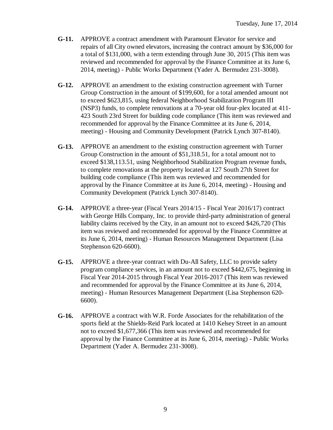- **G-11.** APPROVE a contract amendment with Paramount Elevator for service and repairs of all City owned elevators, increasing the contract amount by \$36,000 for a total of \$131,000, with a term extending through June 30, 2015 (This item was reviewed and recommended for approval by the Finance Committee at its June 6, 2014, meeting) - Public Works Department (Yader A. Bermudez 231-3008).
- **G-12.** APPROVE an amendment to the existing construction agreement with Turner Group Construction in the amount of \$199,600, for a total amended amount not to exceed \$623,815, using federal Neighborhood Stabilization Program III (NSP3) funds, to complete renovations at a 70-year old four-plex located at 411- 423 South 23rd Street for building code compliance (This item was reviewed and recommended for approval by the Finance Committee at its June 6, 2014, meeting) - Housing and Community Development (Patrick Lynch 307-8140).
- **G-13.** APPROVE an amendment to the existing construction agreement with Turner Group Construction in the amount of \$51,318.51, for a total amount not to exceed \$138,113.51, using Neighborhood Stabilization Program revenue funds, to complete renovations at the property located at 127 South 27th Street for building code compliance (This item was reviewed and recommended for approval by the Finance Committee at its June 6, 2014, meeting) - Housing and Community Development (Patrick Lynch 307-8140).
- **G-14.** APPROVE a three-year (Fiscal Years 2014/15 Fiscal Year 2016/17) contract with George Hills Company, Inc. to provide third-party administration of general liability claims received by the City, in an amount not to exceed \$426,720 (This item was reviewed and recommended for approval by the Finance Committee at its June 6, 2014, meeting) - Human Resources Management Department (Lisa Stephenson 620-6600).
- **G-15.** APPROVE a three-year contract with Du-All Safety, LLC to provide safety program compliance services, in an amount not to exceed \$442,675, beginning in Fiscal Year 2014-2015 through Fiscal Year 2016-2017 (This item was reviewed and recommended for approval by the Finance Committee at its June 6, 2014, meeting) - Human Resources Management Department (Lisa Stephenson 620- 6600).
- **G-16.** APPROVE a contract with W.R. Forde Associates for the rehabilitation of the sports field at the Shields-Reid Park located at 1410 Kelsey Street in an amount not to exceed \$1,677,366 (This item was reviewed and recommended for approval by the Finance Committee at its June 6, 2014, meeting) - Public Works Department (Yader A. Bermudez 231-3008).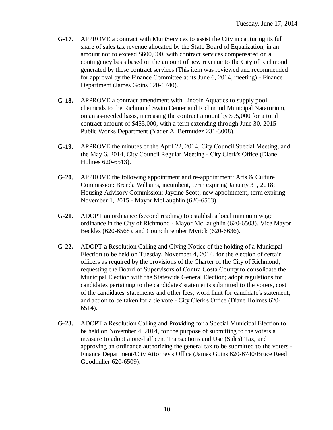- **G-17.** APPROVE a contract with MuniServices to assist the City in capturing its full share of sales tax revenue allocated by the State Board of Equalization, in an amount not to exceed \$600,000, with contract services compensated on a contingency basis based on the amount of new revenue to the City of Richmond generated by these contract services (This item was reviewed and recommended for approval by the Finance Committee at its June 6, 2014, meeting) - Finance Department (James Goins 620-6740).
- **G-18.** APPROVE a contract amendment with Lincoln Aquatics to supply pool chemicals to the Richmond Swim Center and Richmond Municipal Natatorium, on an as-needed basis, increasing the contract amount by \$95,000 for a total contract amount of \$455,000, with a term extending through June 30, 2015 - Public Works Department (Yader A. Bermudez 231-3008).
- **G-19.** APPROVE the minutes of the April 22, 2014, City Council Special Meeting, and the May 6, 2014, City Council Regular Meeting - City Clerk's Office (Diane Holmes 620-6513).
- **G-20.** APPROVE the following appointment and re-appointment: Arts & Culture Commission: Brenda Williams, incumbent, term expiring January 31, 2018; Housing Advisory Commission: Jaycine Scott, new appointment, term expiring November 1, 2015 - Mayor McLaughlin (620-6503).
- **G-21.** ADOPT an ordinance (second reading) to establish a local minimum wage ordinance in the City of Richmond - Mayor McLaughlin (620-6503), Vice Mayor Beckles (620-6568), and Councilmember Myrick (620-6636).
- **G-22.** ADOPT a Resolution Calling and Giving Notice of the holding of a Municipal Election to be held on Tuesday, November 4, 2014, for the election of certain officers as required by the provisions of the Charter of the City of Richmond; requesting the Board of Supervisors of Contra Costa County to consolidate the Municipal Election with the Statewide General Election; adopt regulations for candidates pertaining to the candidates' statements submitted to the voters, cost of the candidates' statements and other fees, word limit for candidate's statement; and action to be taken for a tie vote - City Clerk's Office (Diane Holmes 620- 6514).
- **G-23.** ADOPT a Resolution Calling and Providing for a Special Municipal Election to be held on November 4, 2014, for the purpose of submitting to the voters a measure to adopt a one-half cent Transactions and Use (Sales) Tax, and approving an ordinance authorizing the general tax to be submitted to the voters - Finance Department/City Attorney's Office (James Goins 620-6740/Bruce Reed Goodmiller 620-6509).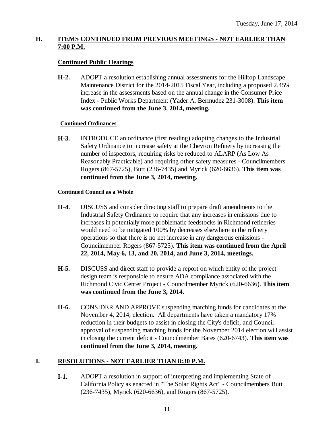## **H. ITEMS CONTINUED FROM PREVIOUS MEETINGS - NOT EARLIER THAN 7:00 P.M.**

## **Continued Public Hearings**

**H-2.** ADOPT a resolution establishing annual assessments for the Hilltop Landscape Maintenance District for the 2014-2015 Fiscal Year, including a proposed 2.45% increase in the assessments based on the annual change in the Consumer Price Index - Public Works Department (Yader A. Bermudez 231-3008). **This item was continued from the June 3, 2014, meeting.**

### **Continued Ordinances**

**H-3.** INTRODUCE an ordinance (first reading) adopting changes to the Industrial Safety Ordinance to increase safety at the Chevron Refinery by increasing the number of inspectors, requiring risks be reduced to ALARP (As Low As Reasonably Practicable) and requiring other safety measures - Councilmembers Rogers (867-5725), Butt (236-7435) and Myrick (620-6636). **This item was continued from the June 3, 2014, meeting.**

### **Continued Council as a Whole**

- **H-4.** DISCUSS and consider directing staff to prepare draft amendments to the Industrial Safety Ordinance to require that any increases in emissions due to increases in potentially more problematic feedstocks in Richmond refineries would need to be mitigated 100% by decreases elsewhere in the refinery operations so that there is no net increase in any dangerous emissions - Councilmember Rogers (867-5725). **This item was continued from the April 22, 2014, May 6, 13, and 20, 2014, and June 3, 2014, meetings.**
- **H-5.** DISCUSS and direct staff to provide a report on which entity of the project design team is responsible to ensure ADA compliance associated with the Richmond Civic Center Project - Councilmember Myrick (620-6636). **This item was continued from the June 3, 2014.**
- **H-6.** CONSIDER AND APPROVE suspending matching funds for candidates at the November 4, 2014, election. All departments have taken a mandatory 17% reduction in their budgets to assist in closing the City's deficit, and Council approval of suspending matching funds for the November 2014 election will assist in closing the current deficit - Councilmember Bates (620-6743). **This item was continued from the June 3, 2014, meeting.**

## **I. RESOLUTIONS - NOT EARLIER THAN 8:30 P.M.**

**I-1.** ADOPT a resolution in support of interpreting and implementing State of California Policy as enacted in "The Solar Rights Act" - Councilmembers Butt (236-7435), Myrick (620-6636), and Rogers (867-5725).